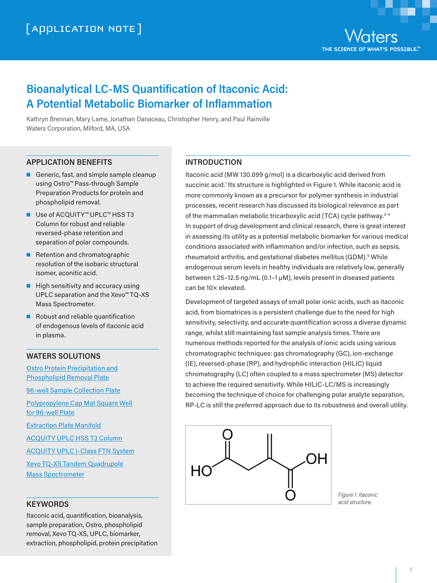

# **Bioanalytical LC-MS Quantification of Itaconic Acid: A Potential Metabolic Biomarker of Inflammation**

Kathryn Brennan, Mary Lame, Jonathan Danaceau, Christopher Henry, and Paul Rainville Waters Corporation, Milford, MA, USA

## **APPLICATION BENEFITS**

- Generic, fast, and simple sample cleanup using Ostro™ Pass-through Sample Preparation Products for protein and phospholipid removal.
- Use of ACQUITY™ UPLC™ HSS T3 Column for robust and reliable reversed-phase retention and separation of polar compounds.
- Retention and chromatographic resolution of the isobaric structural isomer, aconitic acid.
- High sensitivity and accuracy using UPLC separation and the Xevo™ TQ-XS Mass Spectrometer.
- Robust and reliable quantification of endogenous levels of itaconic acid in plasma.

#### **WATERS SOLUTIONS**

[Ostro Protein Precipitation](https://www.waters.com/waters/partDetail.htm?partNumber=186005518) and [Phospholipid Removal](https://www.waters.com/waters/partDetail.htm?partNumber=186005518) Plate

[96-well Sample Collection](https://www.waters.com/waters/partDetail.htm?partNumber=186002482) Plate

[Polypropylene Cap Mat Square](https://www.waters.com/waters/partDetail.htm?partNumber=186002484) Well [for 96-well](https://www.waters.com/waters/partDetail.htm?partNumber=186002484) Plate

[Extraction Plate](https://www.waters.com/waters/partDetail.htm?partNumber=186001831) Manifold

[ACQUITY UPLC HSS T3](https://www.waters.com/waters/partDetail.htm?partNumber=186003539) Column

[ACQUITY UPLC I-Class FTN](https://www.waters.com/waters/UPLC-inlet-to-MS-with-the-best-dispersion/nav.htm?&cid=134613317) System

[Xevo TQ-XS Tandem](https://www.waters.com/waters/Xevo-TQ-XS-Triple-Quadrupole-Mass-Spectrometry/nav.htm?&cid=134889751) Quadrupole Mass [Spectrometer](https://www.waters.com/waters/Xevo-TQ-XS-Triple-Quadrupole-Mass-Spectrometry/nav.htm?&cid=134889751)

#### **KEYWORDS**

Itaconic acid, quantification, bioanalysis, sample preparation, Ostro, phospholipid removal, Xevo TQ-XS, UPLC, biomarker, extraction, phospholipid, protein precipitation

# **INTRODUCTION**

Itaconic acid (MW 130.099 g/mol) is a dicarboxylic acid derived from succinic acid.<sup>1</sup> Its structure is highlighted in Figure 1. While itaconic acid is more commonly known as a precursor for polymer synthesis in industrial processes, recent research has discussed its biological relevance as part of the mammalian metabolic tricarboxylic acid (TCA) cycle pathway.<sup>2-4</sup> In support of drug development and clinical research, there is great interest in assessing its utility as a potential metabolic biomarker for various medical conditions associated with inflammation and/or infection, such as sepsis, rheumatoid arthritis, and gestational diabetes mellitus (GDM).<sup>5</sup> While endogenous serum levels in healthy individuals are relatively low, generally between 1.25–12.5 ng/mL (0.1–1 µM), levels present in diseased patients can be 10× elevated.

Development of targeted assays of small polar ionic acids, such as itaconic acid, from biomatrices is a persistent challenge due to the need for high sensitivity, selectivity, and accurate quantification across a diverse dynamic range, whilst still maintaining fast sample analysis times. There are numerous methods reported for the analysis of ionic acids using various chromatographic techniques: gas chromatography (GC), ion-exchange (IE), reversed-phase (RP), and hydrophilic interaction (HILIC) liquid chromatography (LC) often coupled to a mass spectrometer (MS) detector to achieve the required sensitivity. While HILIC-LC/MS is increasingly becoming the technique of choice for challenging polar analyte separation, RP-LC is still the preferred approach due to its robustness and overall utility.



*Figure 1. Itaconic acid structure.*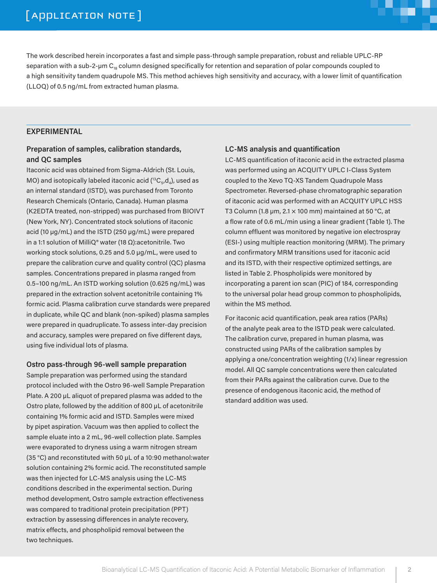# [ APPLICATION NOTE ]

The work described herein incorporates a fast and simple pass-through sample preparation, robust and reliable UPLC-RP separation with a sub-2-µm  $C_{18}$  column designed specifically for retention and separation of polar compounds coupled to a high sensitivity tandem quadrupole MS. This method achieves high sensitivity and accuracy, with a lower limit of quantification (LLOQ) of 0.5 ng/mL from extracted human plasma.

#### **EXPERIMENTAL**

## **Preparation of samples, calibration standards, and QC samples**

Itaconic acid was obtained from Sigma-Aldrich (St. Louis, MO) and isotopically labeled itaconic acid  $(^{13}C_5,d_4)$ , used as an internal standard (ISTD), was purchased from Toronto Research Chemicals (Ontario, Canada). Human plasma (K2EDTA treated, non-stripped) was purchased from BIOIVT (New York, NY). Concentrated stock solutions of itaconic acid (10 µg/mL) and the ISTD (250 µg/mL) were prepared in a 1:1 solution of MilliQ® water (18 Ω):acetonitrile. Two working stock solutions, 0.25 and 5.0 µg/mL, were used to prepare the calibration curve and quality control (QC) plasma samples. Concentrations prepared in plasma ranged from 0.5–100 ng/mL. An ISTD working solution (0.625 ng/mL) was prepared in the extraction solvent acetonitrile containing 1% formic acid. Plasma calibration curve standards were prepared in duplicate, while QC and blank (non-spiked) plasma samples were prepared in quadruplicate. To assess inter-day precision and accuracy, samples were prepared on five different days, using five individual lots of plasma.

#### **Ostro pass-through 96-well sample preparation**

Sample preparation was performed using the standard protocol included with the Ostro 96-well Sample Preparation Plate. A 200 µL aliquot of prepared plasma was added to the Ostro plate, followed by the addition of 800 µL of acetonitrile containing 1% formic acid and ISTD. Samples were mixed by pipet aspiration. Vacuum was then applied to collect the sample eluate into a 2 mL, 96-well collection plate. Samples were evaporated to dryness using a warm nitrogen stream (35 °C) and reconstituted with 50 µL of a 10:90 methanol:water solution containing 2% formic acid. The reconstituted sample was then injected for LC-MS analysis using the LC-MS conditions described in the experimental section. During method development, Ostro sample extraction effectiveness was compared to traditional protein precipitation (PPT) extraction by assessing differences in analyte recovery, matrix effects, and phospholipid removal between the two techniques.

#### **LC-MS analysis and quantification**

LC-MS quantification of itaconic acid in the extracted plasma was performed using an ACQUITY UPLC I-Class System coupled to the Xevo TQ-XS Tandem Quadrupole Mass Spectrometer. Reversed-phase chromatographic separation of itaconic acid was performed with an ACQUITY UPLC HSS T3 Column (1.8 µm, 2.1  $\times$  100 mm) maintained at 50 °C, at a flow rate of 0.6 mL/min using a linear gradient (Table 1). The column effluent was monitored by negative ion electrospray (ESI-) using multiple reaction monitoring (MRM). The primary and confirmatory MRM transitions used for itaconic acid and its ISTD, with their respective optimized settings, are listed in Table 2. Phospholipids were monitored by incorporating a parent ion scan (PIC) of 184, corresponding to the universal polar head group common to phospholipids, within the MS method.

For itaconic acid quantification, peak area ratios (PARs) of the analyte peak area to the ISTD peak were calculated. The calibration curve, prepared in human plasma, was constructed using PARs of the calibration samples by applying a one/concentration weighting (1/x) linear regression model. All QC sample concentrations were then calculated from their PARs against the calibration curve. Due to the presence of endogenous itaconic acid, the method of standard addition was used.

**THE**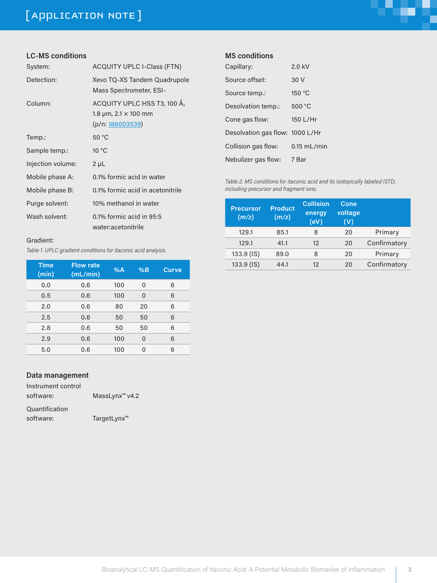# [ APPLICATION NOTE ]



# **LC-MS conditions**

| System:           | <b>ACQUITY UPLC I-Class (FTN)</b>                                                   |
|-------------------|-------------------------------------------------------------------------------------|
| Detection:        | Xevo TQ-XS Tandem Quadrupole<br>Mass Spectrometer, ESI-                             |
| Column:           | ACQUITY UPLC HSS T3, 100 Å,<br>1.8 $\mu$ m, 2.1 $\times$ 100 mm<br>(p/n: 186003539) |
| Temp.:            | 50 °C                                                                               |
| Sample temp.:     | $10^{\circ}$ C                                                                      |
| Injection volume: | $2 \mu L$                                                                           |
| Mobile phase A:   | 0.1% formic acid in water                                                           |
| Mobile phase B:   | 0.1% formic acid in acetonitrile                                                    |
| Purge solvent:    | 10% methanol in water                                                               |
| Wash solvent:     | $0.1\%$ formic acid in 95:5<br>water:acetonitrile                                   |

#### Gradient:

*Table 1. UPLC gradient conditions for itaconic acid analysis.*

| Time<br>(min) | <b>Flow rate</b><br>(mL/min) | %A  | %B       | <b>Curve</b> |
|---------------|------------------------------|-----|----------|--------------|
| 0,0           | 0.6                          | 100 | 0        | 6            |
| 0.5           | 0.6                          | 100 | 0        | 6            |
| 2.0           | 0,6                          | 80  | 20       | 6            |
| 2.5           | 0.6                          | 50  | 50       | 6            |
| 2.8           | 0,6                          | 50  | 50       | 6            |
| 2.9           | 0.6                          | 100 | $\Omega$ | 6            |
| 5.0           | 0.6                          | 100 | O        | 6            |

## **Data management**

| Instrument control |                            |
|--------------------|----------------------------|
| software:          | MassLynx <sup>™</sup> v4.2 |

Quantification software: TargetLynx<sup>™</sup>

#### **MS conditions**

| Capillary:                      | $2.0$ kV      |
|---------------------------------|---------------|
| Source offset:                  | 30 V          |
| Source temp.:                   | 150 °C        |
| Desolvation temp.:              | 500 °C        |
| Cone gas flow:                  | 150 L/Hr      |
| Desolvation gas flow: 1000 L/Hr |               |
| Collision gas flow:             | $0.15$ mL/min |
| Nebulizer gas flow:             | 7 Bar         |

*Table 2. MS conditions for itaconic acid and its isotopically labeled ISTD, including precursor and fragment ions.*

| <b>Precursor</b><br>(m/z) | <b>Product</b><br>(m/z) | <b>Collision</b><br>energy<br>(eV) | Cone<br>voltage<br>(V) |              |
|---------------------------|-------------------------|------------------------------------|------------------------|--------------|
| 129.1                     | 85.1                    | 8                                  | 20                     | Primary      |
| 129.1                     | 41.1                    | $12 \overline{ }$                  | 20                     | Confirmatory |
| 133.9 (IS)                | 89.0                    | 8                                  | 20                     | Primary      |
| 133.9 (IS)                | 44.1                    | 12                                 | 20                     | Confirmatory |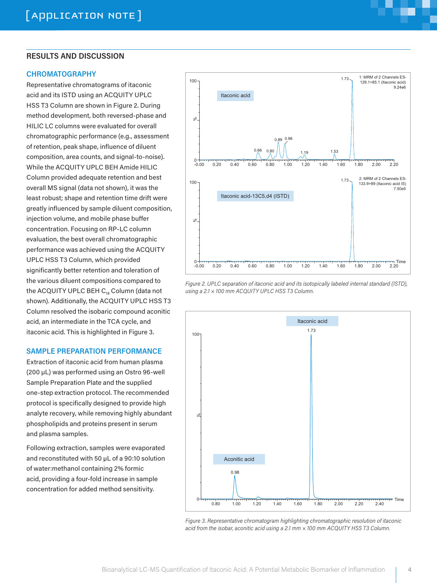#### **RESULTS AND DISCUSSION**

#### **CHROMATOGRAPHY**

Representative chromatograms of itaconic acid and its ISTD using an ACQUITY UPLC HSS T3 Column are shown in Figure 2. During method development, both reversed-phase and HILIC LC columns were evaluated for overall chromatographic performance (e.g., assessment of retention, peak shape, influence of diluent composition, area counts, and signal-to-noise). While the ACQUITY UPLC BEH Amide HILIC Column provided adequate retention and best overall MS signal (data not shown), it was the least robust; shape and retention time drift were greatly influenced by sample diluent composition, injection volume, and mobile phase buffer concentration. Focusing on RP-LC column evaluation, the best overall chromatographic performance was achieved using the ACQUITY UPLC HSS T3 Column, which provided significantly better retention and toleration of the various diluent compositions compared to the ACQUITY UPLC BEH  $C_{18}$  Column (data not shown). Additionally, the ACQUITY UPLC HSS T3 Column resolved the isobaric compound aconitic acid, an intermediate in the TCA cycle, and itaconic acid. This is highlighted in Figure 3.

#### **SAMPLE PREPARATION PERFORMANCE**

Extraction of itaconic acid from human plasma (200 µL) was performed using an Ostro 96-well Sample Preparation Plate and the supplied one-step extraction protocol. The recommended protocol is specifically designed to provide high analyte recovery, while removing highly abundant phospholipids and proteins present in serum and plasma samples.

Following extraction, samples were evaporated and reconstituted with 50 µL of a 90:10 solution of water:methanol containing 2% formic acid, providing a four-fold increase in sample concentration for added method sensitivity.



*Figure 2. UPLC separation of itaconic acid and its isotopically labeled internal standard (ISTD), using a 2.1 × 100 mm ACQUITY UPLC HSS T3 Column.*



*Figure 3. Representative chromatogram highlighting chromatographic resolution of itaconic acid from the isobar, aconitic acid using a 2.1 mm × 100 mm ACQUITY HSS T3 Column.*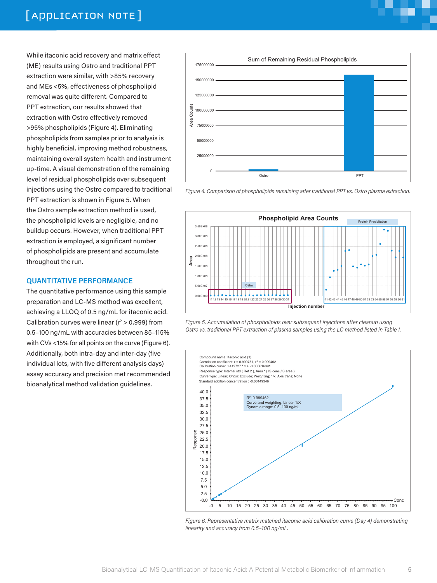# [ APPLICATION NOTE ]

While itaconic acid recovery and matrix effect (ME) results using Ostro and traditional PPT extraction were similar, with >85% recovery and MEs <5%, effectiveness of phospholipid removal was quite different. Compared to PPT extraction, our results showed that extraction with Ostro effectively removed >95% phospholipids (Figure 4). Eliminating phospholipids from samples prior to analysis is highly beneficial, improving method robustness, maintaining overall system health and instrument up-time. A visual demonstration of the remaining level of residual phospholipids over subsequent injections using the Ostro compared to traditional PPT extraction is shown in Figure 5. When the Ostro sample extraction method is used, the phospholipid levels are negligible, and no buildup occurs. However, when traditional PPT extraction is employed, a significant number of phospholipids are present and accumulate throughout the run.

#### **QUANTITATIVE PERFORMANCE**

The quantitative performance using this sample preparation and LC-MS method was excellent, achieving a LLOQ of 0.5 ng/mL for itaconic acid. Calibration curves were linear ( $r^2 > 0.999$ ) from 0.5–100 ng/mL with accuracies between 85–115% with CVs <15% for all points on the curve (Figure 6). Additionally, both intra-day and inter-day (five individual lots, with five different analysis days) assay accuracy and precision met recommended bioanalytical method validation guidelines.











*Figure 6. Representative matrix matched itaconic acid calibration curve (Day 4) demonstrating linearity and accuracy from 0.5–100 ng/mL.*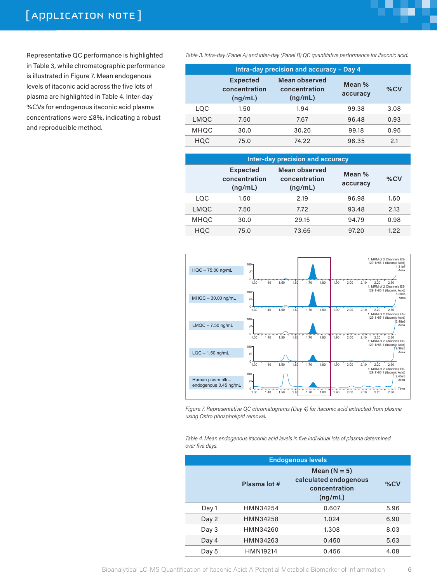Representative QC performance is highlighted in Table 3, while chromatographic performance is illustrated in Figure 7. Mean endogenous levels of itaconic acid across the five lots of plasma are highlighted in Table 4. Inter-day %CVs for endogenous itaconic acid plasma concentrations were ≤8%, indicating a robust and reproducible method.

*Table 3. Intra-day (Panel A) and inter-day (Panel B) QC quantitative performance for itaconic acid.* 

| <b>Intra-day precision and accuracy - Day 4</b> |                                             |                                                  |                    |      |
|-------------------------------------------------|---------------------------------------------|--------------------------------------------------|--------------------|------|
|                                                 | <b>Expected</b><br>concentration<br>(ng/mL) | <b>Mean observed</b><br>concentration<br>(ng/mL) | Mean %<br>accuracy | %CV  |
| LOC                                             | 1.50                                        | 1.94                                             | 99.38              | 3.08 |
| LMQC                                            | 7.50                                        | 7.67                                             | 96.48              | 0.93 |
| <b>MHOC</b>                                     | 30.0                                        | 30.20                                            | 99.18              | 0.95 |
| HOC                                             | 75.0                                        | 74.22                                            | 98,35              | 2.1  |

| Inter-day precision and accuracy |                                             |                                           |                    |      |
|----------------------------------|---------------------------------------------|-------------------------------------------|--------------------|------|
|                                  | <b>Expected</b><br>concentration<br>(ng/mL) | Mean observed<br>concentration<br>(ng/mL) | Mean %<br>accuracy | %CV  |
| LOC                              | 1.50                                        | 2.19                                      | 96.98              | 1.60 |
| LMOC                             | 7.50                                        | 7.72                                      | 93.48              | 2.13 |
| <b>MHQC</b>                      | 30.0                                        | 29.15                                     | 94.79              | 0.98 |
| HOC                              | 75.0                                        | 73.65                                     | 97.20              | 1.22 |



*Figure 7. Representative QC chromatograms (Day 4) for itaconic acid extracted from plasma using Ostro phospholipid removal.* 

*Table 4. Mean endogenous itaconic acid levels in five individual lots of plasma determined over five days.* 

| <b>Endogenous levels</b> |              |                                                                     |      |  |
|--------------------------|--------------|---------------------------------------------------------------------|------|--|
|                          | Plasma lot # | Mean $(N = 5)$<br>calculated endogenous<br>concentration<br>(ng/mL) | %CV  |  |
| Day 1                    | HMN34254     | 0.607                                                               | 5.96 |  |
| Day 2                    | HMN34258     | 1.024                                                               | 6.90 |  |
| Day 3                    | HMN34260     | 1.308                                                               | 8.03 |  |
| Day 4                    | HMN34263     | 0.450                                                               | 5.63 |  |
| Day 5                    | HMN19214     | 0.456                                                               | 4.08 |  |

H.